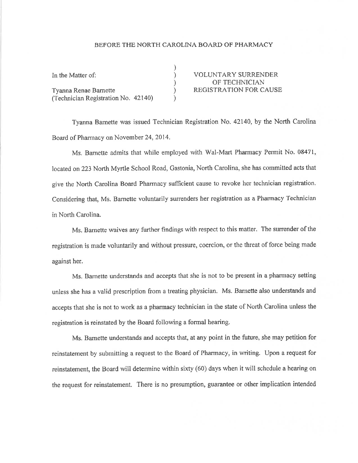## BEFORE THE NORTH CAROLINA BOARD OF PHARMACY

| In the Matter of:                   | <b>VOLUNTARY SURRENDER</b>    |
|-------------------------------------|-------------------------------|
|                                     | OF TECHNICIAN                 |
| Tyanna Renae Barnette               | <b>REGISTRATION FOR CAUSE</b> |
| (Technician Registration No. 42140) |                               |

Tyanna Barnette was issued Technician Registration No. 42140, by the North Carolina Board of Pharmacy on November 24, 2014.

Ms. Barnette admits that while employed with Wal-Mart Pharmacy Permit No. 08471, locared on223 North Myrtle School Road, Gastonia, North Carolina, she has committed acts that give the North Carolina Board Pharmacy sufficient cause to revoke her technician registration. Considering that, Ms. Barnette voluntarily surrenders her registration as a Pharmacy Technician in North Carolina.

Ms. Barnette waives any further findings with respect to this matter. The surrender of the registration is made voluntarily and without pressure, coercion, or the threat of force being made against her.

Ms. Bamette understands and accepts that she is not to be present in a pharmacy setting unless she has a valid prescrìption from a treating physician. Ms. Barnette also understands and accepts that she is not to work as a pharmacy technician in the state of North Carolina unless the registration is reinstated by the Board following a formal hearing.

Ms. Bamette understands and accepts that, at any point in the future, she may petition for reinstatement by submitting a request to the Board of Pharmacy, in writing. Upon a request for reinstatement, the Board will determine within sixty (60) days when it will schedule a hearing on the request for reinstatement. There is no presumption, guarantee or other implication intended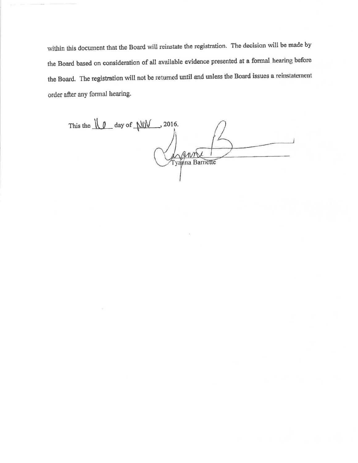within this document that the Board will reinstate the registration. The decision will be made by the Board based on consideration of all available evidence presented at a formal hearing before the Board. The registration will not be returned until and unless the Board issues a reinstatement order after any formal hearing.

This the  $\sqrt{\frac{1}{\sqrt{2}}}$  day of  $\sqrt{\frac{1}{\sqrt{2}}}$ , 2016. Tyanna Barnette